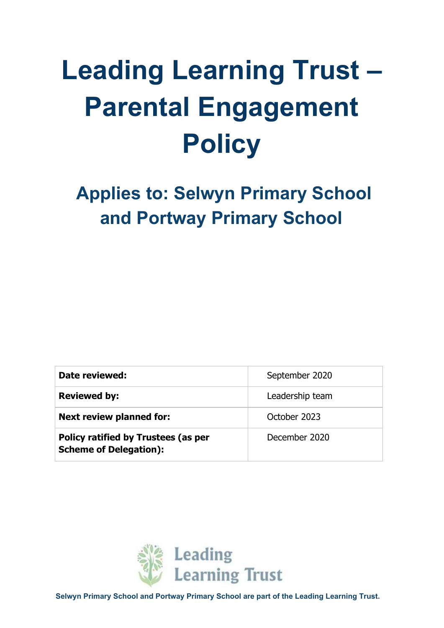# **Leading Learning Trust – Parental Engagement Policy**

 **Applies to: Selwyn Primary School and Portway Primary School**

| Date reviewed:                                                       | September 2020  |
|----------------------------------------------------------------------|-----------------|
| <b>Reviewed by:</b>                                                  | Leadership team |
| <b>Next review planned for:</b>                                      | October 2023    |
| Policy ratified by Trustees (as per<br><b>Scheme of Delegation):</b> | December 2020   |



**Selwyn Primary School and Portway Primary School are part of the Leading Learning Trust.**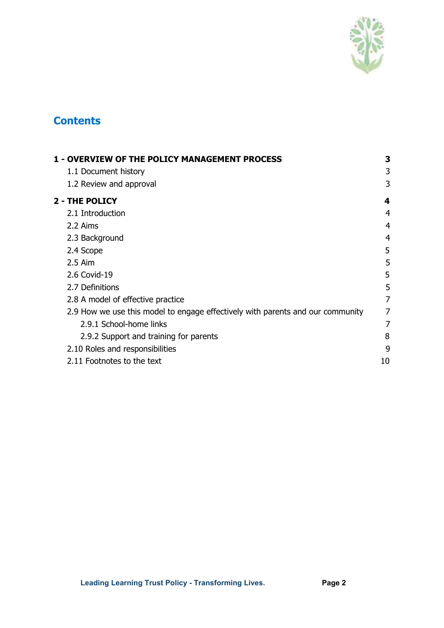

# **Contents**

| <b>1 - OVERVIEW OF THE POLICY MANAGEMENT PROCESS</b>                           |    |
|--------------------------------------------------------------------------------|----|
| 1.1 Document history                                                           | 3  |
| 1.2 Review and approval                                                        | 3  |
| <b>2 - THE POLICY</b>                                                          | 4  |
| 2.1 Introduction                                                               | 4  |
| 2.2 Aims                                                                       | 4  |
| 2.3 Background                                                                 | 4  |
| 2.4 Scope                                                                      | 5  |
| $2.5$ Aim                                                                      | 5  |
| 2.6 Covid-19                                                                   | 5  |
| 2.7 Definitions                                                                | 5  |
| 2.8 A model of effective practice                                              | 7  |
| 2.9 How we use this model to engage effectively with parents and our community | 7  |
| 2.9.1 School-home links                                                        | 7  |
| 2.9.2 Support and training for parents                                         | 8  |
| 2.10 Roles and responsibilities                                                | 9  |
| 2.11 Footnotes to the text                                                     | 10 |
|                                                                                |    |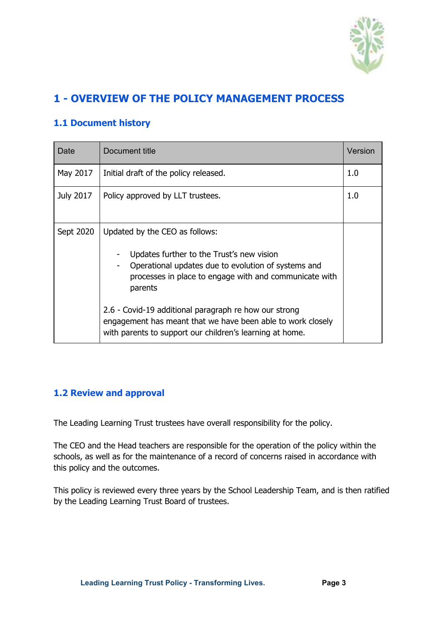

# <span id="page-2-0"></span>**1 - OVERVIEW OF THE POLICY MANAGEMENT PROCESS**

# <span id="page-2-1"></span>**1.1 Document history**

| Date      | Document title                                                                                                                                                                                                                                                                                                                  | Version |
|-----------|---------------------------------------------------------------------------------------------------------------------------------------------------------------------------------------------------------------------------------------------------------------------------------------------------------------------------------|---------|
| May 2017  | Initial draft of the policy released.                                                                                                                                                                                                                                                                                           | 1.0     |
| July 2017 | Policy approved by LLT trustees.                                                                                                                                                                                                                                                                                                | 1.0     |
| Sept 2020 | Updated by the CEO as follows:<br>Updates further to the Trust's new vision<br>Operational updates due to evolution of systems and<br>processes in place to engage with and communicate with<br>parents<br>2.6 - Covid-19 additional paragraph re how our strong<br>engagement has meant that we have been able to work closely |         |

#### <span id="page-2-2"></span>**1.2 Review and approval**

The Leading Learning Trust trustees have overall responsibility for the policy.

The CEO and the Head teachers are responsible for the operation of the policy within the schools, as well as for the maintenance of a record of concerns raised in accordance with this policy and the outcomes.

This policy is reviewed every three years by the School Leadership Team, and is then ratified by the Leading Learning Trust Board of trustees.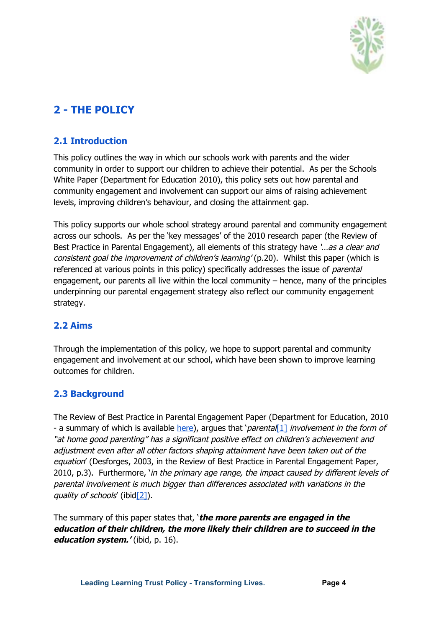

# <span id="page-3-1"></span><span id="page-3-0"></span>**2 - THE POLICY**

### **2.1 Introduction**

This policy outlines the way in which our schools work with parents and the wider community in order to support our children to achieve their potential. As per the Schools White Paper (Department for Education 2010), this policy sets out how parental and community engagement and involvement can support our aims of raising achievement levels, improving children's behaviour, and closing the attainment gap.

This policy supports our whole school strategy around parental and community engagement across our schools. As per the 'key messages' of the 2010 research paper (the Review of Best Practice in Parental Engagement), all elements of this strategy have '...as a clear and consistent goal the improvement of children's learning' (p.20). Whilst this paper (which is referenced at various points in this policy) specifically addresses the issue of *parental* engagement, our parents all live within the local community – hence, many of the principles underpinning our parental engagement strategy also reflect our community engagement strategy.

# <span id="page-3-2"></span>**2.2 Aims**

Through the implementation of this policy, we hope to support parental and community engagement and involvement at our school, which have been shown to improve learning outcomes for children.

# <span id="page-3-3"></span>**2.3 Background**

The Review of Best Practice in Parental Engagement Paper (Department for Education, 2010 - a summary of which is availabl[e](https://www.gov.uk/government/uploads/system/uploads/attachment_data/file/182507/DFE-RR156_-_Practitioner_Summary.pdf) [here\)](https://www.gov.uk/government/uploads/system/uploads/attachment_data/file/182507/DFE-RR156_-_Practitioner_Summary.pdf), argues that 'parental<sup>[\[1\]](https://d.docs.live.net/a646325346a22c55/LLT%20Selwyn%20Portway%20-%20complete%20policies%20-%20Nov%202016/All%20policies%20-%20editable%20versions%20-%20Word%2097%20and%20Excel%20-%20from%20July%202017/Not%20on%20website%20-%20SWN%20Policies%20-%20Parental%20and%20community%20engagement%20-%20May%202017%20-%20Word%2097.doc#_ftn1)</sup> involvement in the form of "at home good parenting" has <sup>a</sup> significant positive effect on children's achievement and adjustment even after all other factors shaping attainment have been taken out of the equation' (Desforges, 2003, in the Review of Best Practice in Parental Engagement Paper, 2010, p.3). Furthermore, 'in the primary age range, the impact caused by different levels of parental involvement is much bigger than differences associated with variations in the quality of schools' (ibid $[2]$ ).

The summary of this paper states that, '**the more parents are engaged in the education of their children, the more likely their children are to succeed in the education system.'** (ibid, p. 16).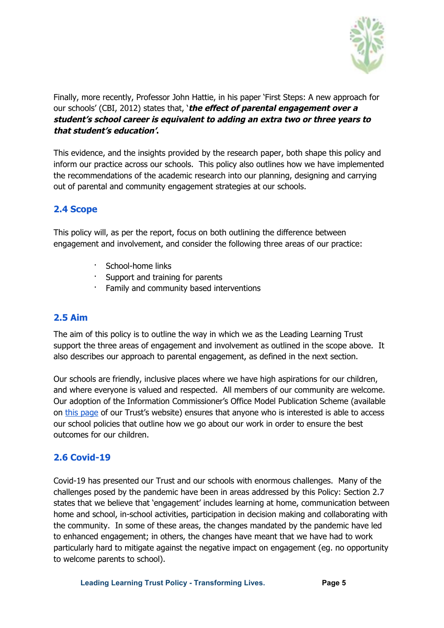

Finally, more recently, Professor John Hattie, in his paper 'First Steps: A new approach for our schools' (CBI, 2012) states that, '**the effect of parental engagement over <sup>a</sup> student's school career is equivalent to adding an extra two or three years to that student's education'.**

This evidence, and the insights provided by the research paper, both shape this policy and inform our practice across our schools. This policy also outlines how we have implemented the recommendations of the academic research into our planning, designing and carrying out of parental and community engagement strategies at our schools.

# <span id="page-4-0"></span>**2.4 Scope**

This policy will, as per the report, focus on both outlining the difference between engagement and involvement, and consider the following three areas of our practice:

- School-home links
- · Support and training for parents
- Family and community based interventions

#### <span id="page-4-1"></span>**2.5 Aim**

The aim of this policy is to outline the way in which we as the Leading Learning Trust support the three areas of engagement and involvement as outlined in the scope above. It also describes our approach to parental engagement, as defined in the next section.

Our schools are friendly, inclusive places where we have high aspirations for our children, and where everyone is valued and respected. All members of our community are welcome. Our adoption of the Information Commissioner's Office Model Publication Scheme (available on [t](http://www.leadinglearningtrust.org/trust-documents/)his [page](http://www.leadinglearningtrust.org/trust-documents/) of our Trust's website) ensures that anyone who is interested is able to access our school policies that outline how we go about our work in order to ensure the best outcomes for our children.

# <span id="page-4-2"></span>**2.6 Covid-19**

Covid-19 has presented our Trust and our schools with enormous challenges. Many of the challenges posed by the pandemic have been in areas addressed by this Policy: Section 2.7 states that we believe that 'engagement' includes learning at home, communication between home and school, in-school activities, participation in decision making and collaborating with the community. In some of these areas, the changes mandated by the pandemic have led to enhanced engagement; in others, the changes have meant that we have had to work particularly hard to mitigate against the negative impact on engagement (eg. no opportunity to welcome parents to school).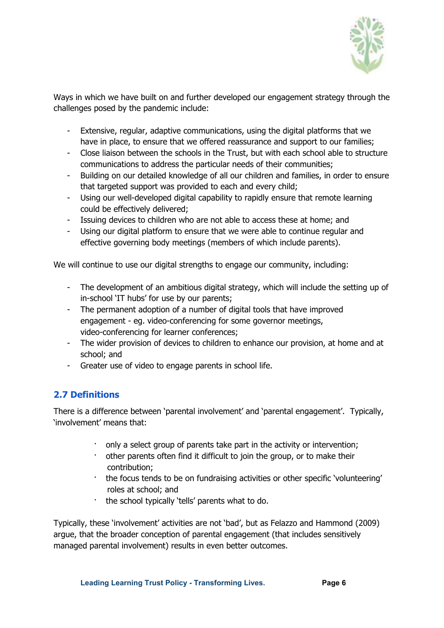

Ways in which we have built on and further developed our engagement strategy through the challenges posed by the pandemic include:

- Extensive, regular, adaptive communications, using the digital platforms that we have in place, to ensure that we offered reassurance and support to our families;
- Close liaison between the schools in the Trust, but with each school able to structure communications to address the particular needs of their communities;
- Building on our detailed knowledge of all our children and families, in order to ensure that targeted support was provided to each and every child;
- Using our well-developed digital capability to rapidly ensure that remote learning could be effectively delivered;
- Issuing devices to children who are not able to access these at home; and
- Using our digital platform to ensure that we were able to continue regular and effective governing body meetings (members of which include parents).

We will continue to use our digital strengths to engage our community, including:

- The development of an ambitious digital strategy, which will include the setting up of in-school 'IT hubs' for use by our parents;
- The permanent adoption of a number of digital tools that have improved engagement - eg. video-conferencing for some governor meetings, video-conferencing for learner conferences;
- The wider provision of devices to children to enhance our provision, at home and at school; and
- <span id="page-5-0"></span>- Greater use of video to engage parents in school life.

# **2.7 Definitions**

There is a difference between 'parental involvement' and 'parental engagement'. Typically, 'involvement' means that:

- only a select group of parents take part in the activity or intervention;
- other parents often find it difficult to join the group, or to make their contribution;
- · the focus tends to be on fundraising activities or other specific 'volunteering' roles at school; and
- the school typically 'tells' parents what to do.

Typically, these 'involvement' activities are not 'bad', but as Felazzo and Hammond (2009) argue, that the broader conception of parental engagement (that includes sensitively managed parental involvement) results in even better outcomes.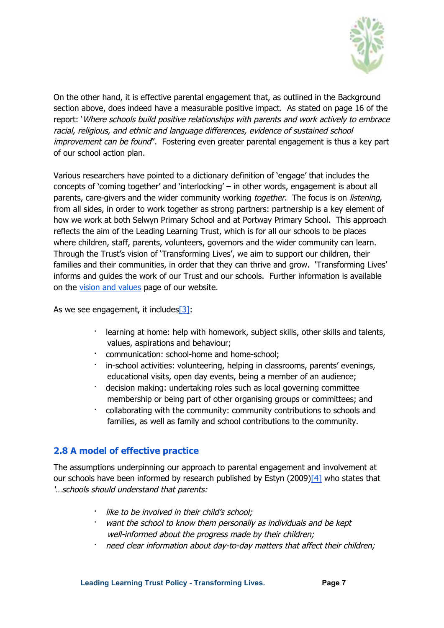

On the other hand, it is effective parental engagement that, as outlined in the Background section above, does indeed have a measurable positive impact. As stated on page 16 of the report: 'Where schools build positive relationships with parents and work actively to embrace racial, religious, and ethnic and language differences, evidence of sustained school improvement can be found". Fostering even greater parental engagement is thus a key part of our school action plan.

Various researchers have pointed to a dictionary definition of 'engage' that includes the concepts of 'coming together' and 'interlocking' – in other words, engagement is about all parents, care-givers and the wider community working *together*. The focus is on *listening*, from all sides, in order to work together as strong partners: partnership is a key element of how we work at both Selwyn Primary School and at Portway Primary School. This approach reflects the aim of the Leading Learning Trust, which is for all our schools to be places where children, staff, parents, volunteers, governors and the wider community can learn. Through the Trust's vision of 'Transforming Lives', we aim to support our children, their families and their communities, in order that they can thrive and grow. 'Transforming Lives' informs and guides the work of our Trust and our schools. Further information is available on the [v](http://selwyn.leadinglearningtrust.org/our-school/vision-and-values/)ision and [values](http://selwyn.leadinglearningtrust.org/our-school/vision-and-values/) page of our website.

As we see engagement, it includes  $\boxed{3}$ :

- · learning at home: help with homework, subject skills, other skills and talents, values, aspirations and behaviour;
- communication: school-home and home-school;
- · in-school activities: volunteering, helping in classrooms, parents' evenings, educational visits, open day events, being a member of an audience;
- decision making: undertaking roles such as local governing committee membership or being part of other organising groups or committees; and
- · collaborating with the community: community contributions to schools and families, as well as family and school contributions to the community.

# <span id="page-6-0"></span>**2.8 A model of effective practice**

The assumptions underpinning our approach to parental engagement and involvement at our schools have been informed by research published by Estyn  $(2009)$ [\[4\]](https://d.docs.live.net/a646325346a22c55/LLT%20Selwyn%20Portway%20-%20complete%20policies%20-%20Nov%202016/All%20policies%20-%20editable%20versions%20-%20Word%2097%20and%20Excel%20-%20from%20July%202017/Not%20on%20website%20-%20SWN%20Policies%20-%20Parental%20and%20community%20engagement%20-%20May%202017%20-%20Word%2097.doc#_ftn4) who states that '…schools should understand that parents:

- like to be involved in their child's school;
- want the school to know them personally as individuals and be kept well-informed about the progress made by their children;
- need clear information about day-to-day matters that affect their children;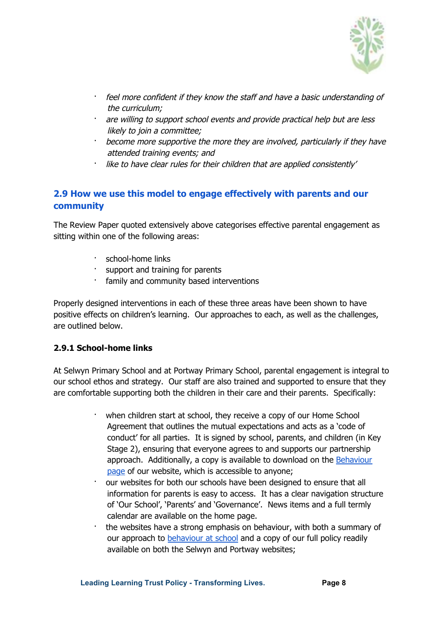

- · feel more confident if they know the staff and have <sup>a</sup> basic understanding of the curriculum;
- are willing to support school events and provide practical help but are less likely to join <sup>a</sup> committee;
- · become more supportive the more they are involved, particularly if they have attended training events; and
- like to have clear rules for their children that are applied consistently'

# <span id="page-7-0"></span>**2.9 How we use this model to engage effectively with parents and our community**

The Review Paper quoted extensively above categorises effective parental engagement as sitting within one of the following areas:

- school-home links
- · support and training for parents
- family and community based interventions

Properly designed interventions in each of these three areas have been shown to have positive effects on children's learning. Our approaches to each, as well as the challenges, are outlined below.

#### <span id="page-7-1"></span>**2.9.1 School-home links**

At Selwyn Primary School and at Portway Primary School, parental engagement is integral to our school ethos and strategy. Our staff are also trained and supported to ensure that they are comfortable supporting both the children in their care and their parents. Specifically:

- when children start at school, they receive a copy of our Home School Agreement that outlines the mutual expectations and acts as a 'code of conduct' for all parties. It is signed by school, parents, and children (in Key Stage 2), ensuring that everyone agrees to and supports our partnership approach. Additionally, a copy is available to download on the [Behaviour](http://selwyn.leadinglearningtrust.org/parents/behaviour-at-school-and-online/) [page](http://selwyn.leadinglearningtrust.org/parents/behaviour-at-school-and-online/) of our website, which is accessible to anyone;
- our websites for both our schools have been designed to ensure that all information for parents is easy to access. It has a clear navigation structure of 'Our School', 'Parents' and 'Governance'. News items and a full termly calendar are available on the home page.
- · the websites have a strong emphasis on behaviour, with both a summary of [o](http://selwyn.leadinglearningtrust.org/parents/behaviour-at-school-and-online/)ur approach to [behaviour](http://selwyn.leadinglearningtrust.org/parents/behaviour-at-school-and-online/) at school and a copy of our full policy readily available on both the Selwyn and Portway websites;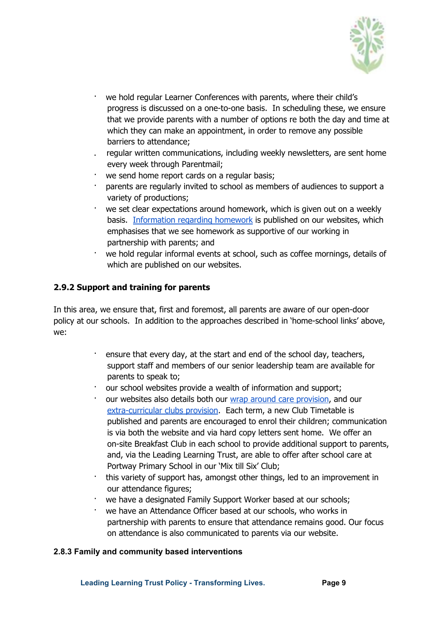

- we hold regular Learner Conferences with parents, where their child's progress is discussed on a one-to-one basis. In scheduling these, we ensure that we provide parents with a number of options re both the day and time at which they can make an appointment, in order to remove any possible barriers to attendance;
- . regular written communications, including weekly newsletters, are sent home every week through Parentmail;
- we send home report cards on a regular basis;
- parents are regularly invited to school as members of audiences to support a variety of productions;
- we set clear expectations around homework, which is given out on a weekly basis. [Information](http://selwyn.leadinglearningtrust.org/parents/homework/) regarding homework is published on our websites, which emphasises that we see homework as supportive of our working in partnership with parents; and
- we hold regular informal events at school, such as coffee mornings, details of which are published on our websites.

#### <span id="page-8-0"></span>**2.9.2 Support and training for parents**

In this area, we ensure that, first and foremost, all parents are aware of our open-door policy at our schools. In addition to the approaches described in 'home-school links' above, we:

- · ensure that every day, at the start and end of the school day, teachers, support staff and members of our senior leadership team are available for parents to speak to;
- our school websites provide a wealth of information and support;
- our websites also details both our wrap around care [provision](http://selwyn.leadinglearningtrust.org/parents/clubs-and-after-school-care/), and our [extra-curricular](http://selwyn.leadinglearningtrust.org/parents/clubs-and-after-school-care/) clubs provision. Each term, a new Club Timetable is published and parents are encouraged to enrol their children; communication is via both the website and via hard copy letters sent home. We offer an on-site Breakfast Club in each school to provide additional support to parents, and, via the Leading Learning Trust, are able to offer after school care at Portway Primary School in our 'Mix till Six' Club;
- · this variety of support has, amongst other things, led to an improvement in our attendance figures;
- we have a designated Family Support Worker based at our schools;
- we have an Attendance Officer based at our schools, who works in partnership with parents to ensure that attendance remains good. Our focus on attendance is also communicated to parents via our website.

#### **2.8.3 Family and community based interventions**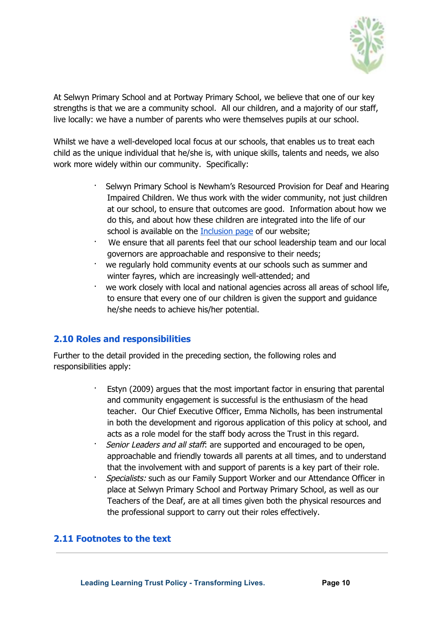

At Selwyn Primary School and at Portway Primary School, we believe that one of our key strengths is that we are a community school. All our children, and a majority of our staff, live locally: we have a number of parents who were themselves pupils at our school.

Whilst we have a well-developed local focus at our schools, that enables us to treat each child as the unique individual that he/she is, with unique skills, talents and needs, we also work more widely within our community. Specifically:

- · Selwyn Primary School is Newham's Resourced Provision for Deaf and Hearing Impaired Children. We thus work with the wider community, not just children at our school, to ensure that outcomes are good. Information about how we do this, and about how these children are integrated into the life of our school is available on the [Inclusion](http://selwyn.leadinglearningtrust.org/our-school/inclusion/) page of our website;
- We ensure that all parents feel that our school leadership team and our local governors are approachable and responsive to their needs;
- · we regularly hold community events at our schools such as summer and winter fayres, which are increasingly well-attended; and
- · we work closely with local and national agencies across all areas of school life, to ensure that every one of our children is given the support and guidance he/she needs to achieve his/her potential.

# <span id="page-9-0"></span>**2.10 Roles and responsibilities**

Further to the detail provided in the preceding section, the following roles and responsibilities apply:

- · Estyn (2009) argues that the most important factor in ensuring that parental and community engagement is successful is the enthusiasm of the head teacher. Our Chief Executive Officer, Emma Nicholls, has been instrumental in both the development and rigorous application of this policy at school, and acts as a role model for the staff body across the Trust in this regard.
- Senior Leaders and all staff: are supported and encouraged to be open, approachable and friendly towards all parents at all times, and to understand that the involvement with and support of parents is a key part of their role.
- Specialists: such as our Family Support Worker and our Attendance Officer in place at Selwyn Primary School and Portway Primary School, as well as our Teachers of the Deaf, are at all times given both the physical resources and the professional support to carry out their roles effectively.

# <span id="page-9-1"></span>**2.11 Footnotes to the text**